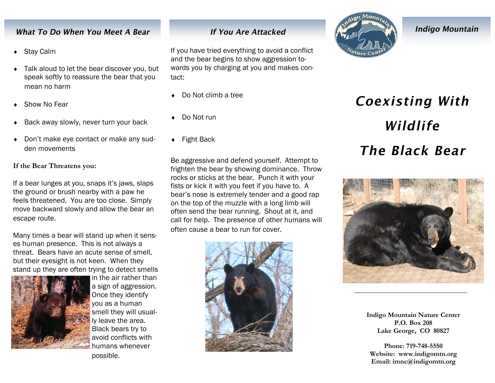## What To Do When You Meet A Bear

- Stay Calm
- ◆ Talk aloud to let the bear discover you, but speak softly to reassure the bear that you mean no harm
- Show No Fear
- Back away slowly, never turn your back
- Don't make eye contact or make any sudden movements

#### **If the Bear Threatens you:**

If a bear lunges at you, snaps it's jaws, slaps the ground or brush nearby with a paw he feels threatened. You are too close. Simply move backward slowly and allow the bear an escape route.

Many times a bear will stand up when it senses human presence. This is not always a threat. Bears have an acute sense of smell, but their eyesight is not keen. When they stand up they are often trying to detect smells



in the air rather than a sign of aggression. Once they identify you as a human smell they will usually leave the area. Black bears try to avoid conflicts with humans whenever possible.

# **If You Are Attacked**

If you have tried everything to avoid a conflict and the bear begins to show aggression towards you by charging at you and makes contact:

- Do Not climb a tree
- Do Not run
- ◆ Fight Back

Be aggressive and defend yourself. Attempt to frighten the bear by showing dominance. Throw rocks or sticks at the bear. Punch it with your fists or kick it with you feet if you have to. A bear's nose is extremely tender and a good rap on the top of the muzzle with a long limb will often send the bear running. Shout at it, and call for help. The presence of other humans will often cause a bear to run for cover.





**Indigo Mountain** 

# **Coexisting With** Wildlife The Black Bear



**Indigo Mountain Nature Center P.O. Box 208 Lake George, CO 80827**

**Phone: 719-748-5550 Website: www.indigomtn.org Email: imnc@indigomtn.org**